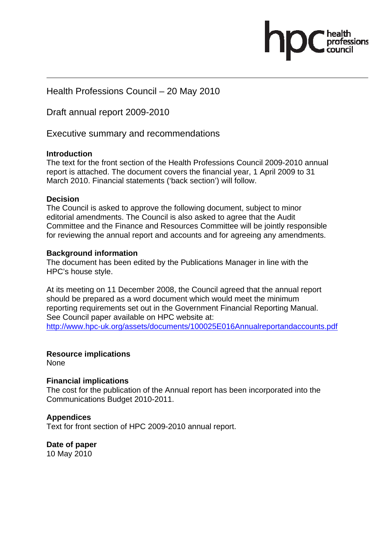Health Professions Council – 20 May 2010

Draft annual report 2009-2010

Executive summary and recommendations

#### **Introduction**

The text for the front section of the Health Professions Council 2009-2010 annual report is attached. The document covers the financial year, 1 April 2009 to 31 March 2010. Financial statements ('back section') will follow.

#### **Decision**

The Council is asked to approve the following document, subject to minor editorial amendments. The Council is also asked to agree that the Audit Committee and the Finance and Resources Committee will be jointly responsible for reviewing the annual report and accounts and for agreeing any amendments.

#### **Background information**

The document has been edited by the Publications Manager in line with the HPC's house style.

At its meeting on 11 December 2008, the Council agreed that the annual report should be prepared as a word document which would meet the minimum reporting requirements set out in the Government Financial Reporting Manual. See Council paper available on HPC website at: http://www.hpc-uk.org/assets/documents/100025E016Annualreportandaccounts.pdf

#### **Resource implications**

None

#### **Financial implications**

The cost for the publication of the Annual report has been incorporated into the Communications Budget 2010-2011.

#### **Appendices**

Text for front section of HPC 2009-2010 annual report.

**Date of paper**  10 May 2010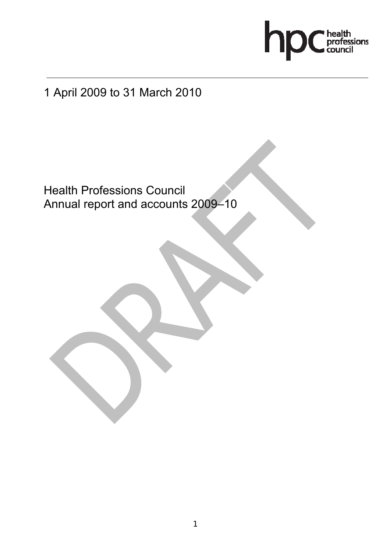

# 1 April 2009 to 31 March 2010

 Health Professions Council Annual report and accounts 2009–10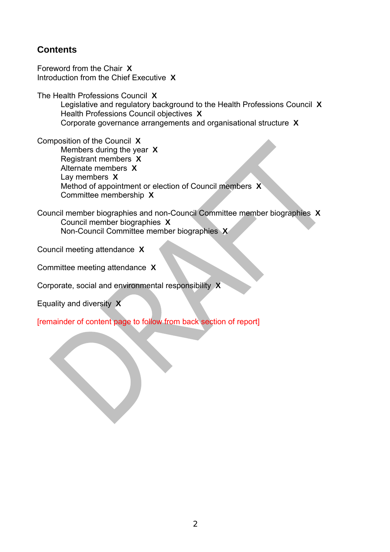# **Contents**

Foreword from the Chair **X** Introduction from the Chief Executive **X**

The Health Professions Council **X**

Legislative and regulatory background to the Health Professions Council **X** Health Professions Council objectives **X** Corporate governance arrangements and organisational structure **X**

Composition of the Council **X** Members during the year **X** Registrant members **X**  Alternate members **X**  Lay members **X**  Method of appointment or election of Council members **X**  Committee membership **X** 

Council member biographies and non-Council Committee member biographies **X**  Council member biographies **X**  Non-Council Committee member biographies **X** 

Council meeting attendance **X** 

Committee meeting attendance **X** 

Corporate, social and environmental responsibility **X** 

Equality and diversity **X** 

[remainder of content page to follow from back section of report]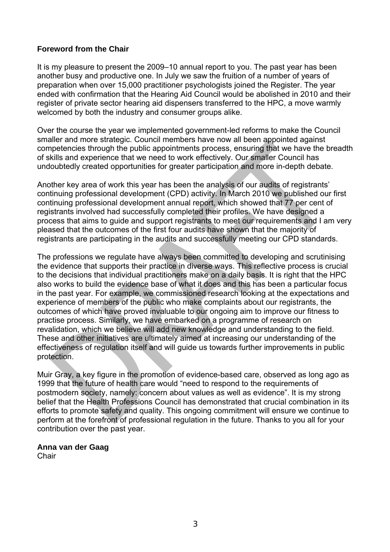### **Foreword from the Chair**

It is my pleasure to present the 2009–10 annual report to you. The past year has been another busy and productive one. In July we saw the fruition of a number of years of preparation when over 15,000 practitioner psychologists joined the Register. The year ended with confirmation that the Hearing Aid Council would be abolished in 2010 and their register of private sector hearing aid dispensers transferred to the HPC, a move warmly welcomed by both the industry and consumer groups alike.

Over the course the year we implemented government-led reforms to make the Council smaller and more strategic. Council members have now all been appointed against competencies through the public appointments process, ensuring that we have the breadth of skills and experience that we need to work effectively. Our smaller Council has undoubtedly created opportunities for greater participation and more in-depth debate.

Another key area of work this year has been the analysis of our audits of registrants' continuing professional development (CPD) activity. In March 2010 we published our first continuing professional development annual report, which showed that 77 per cent of registrants involved had successfully completed their profiles. We have designed a process that aims to guide and support registrants to meet our requirements and I am very pleased that the outcomes of the first four audits have shown that the majority of registrants are participating in the audits and successfully meeting our CPD standards.

The professions we regulate have always been committed to developing and scrutinising the evidence that supports their practice in diverse ways. This reflective process is crucial to the decisions that individual practitioners make on a daily basis. It is right that the HPC also works to build the evidence base of what it does and this has been a particular focus in the past year. For example, we commissioned research looking at the expectations and experience of members of the public who make complaints about our registrants, the outcomes of which have proved invaluable to our ongoing aim to improve our fitness to practise process. Similarly, we have embarked on a programme of research on revalidation, which we believe will add new knowledge and understanding to the field. These and other initiatives are ultimately aimed at increasing our understanding of the effectiveness of regulation itself and will guide us towards further improvements in public protection.

Muir Gray, a key figure in the promotion of evidence-based care, observed as long ago as 1999 that the future of health care would "need to respond to the requirements of postmodern society, namely: concern about values as well as evidence". It is my strong belief that the Health Professions Council has demonstrated that crucial combination in its efforts to promote safety and quality. This ongoing commitment will ensure we continue to perform at the forefront of professional regulation in the future. Thanks to you all for your contribution over the past year.

# **Anna van der Gaag**

**Chair**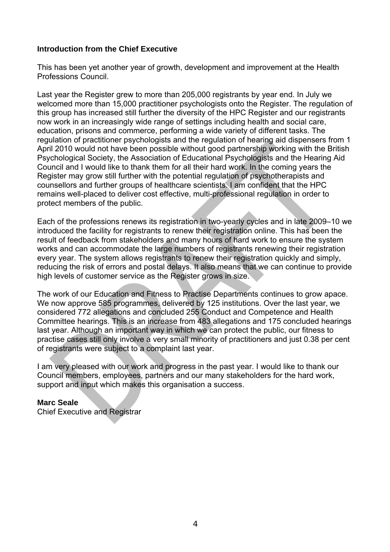### **Introduction from the Chief Executive**

This has been yet another year of growth, development and improvement at the Health Professions Council.

Last year the Register grew to more than 205,000 registrants by year end. In July we welcomed more than 15,000 practitioner psychologists onto the Register. The regulation of this group has increased still further the diversity of the HPC Register and our registrants now work in an increasingly wide range of settings including health and social care, education, prisons and commerce, performing a wide variety of different tasks. The regulation of practitioner psychologists and the regulation of hearing aid dispensers from 1 April 2010 would not have been possible without good partnership working with the British Psychological Society, the Association of Educational Psychologists and the Hearing Aid Council and I would like to thank them for all their hard work. In the coming years the Register may grow still further with the potential regulation of psychotherapists and counsellors and further groups of healthcare scientists. I am confident that the HPC remains well-placed to deliver cost effective, multi-professional regulation in order to protect members of the public.

Each of the professions renews its registration in two-yearly cycles and in late 2009–10 we introduced the facility for registrants to renew their registration online. This has been the result of feedback from stakeholders and many hours of hard work to ensure the system works and can accommodate the large numbers of registrants renewing their registration every year. The system allows registrants to renew their registration quickly and simply, reducing the risk of errors and postal delays. It also means that we can continue to provide high levels of customer service as the Register grows in size.

The work of our Education and Fitness to Practise Departments continues to grow apace. We now approve 585 programmes, delivered by 125 institutions. Over the last year, we considered 772 allegations and concluded 255 Conduct and Competence and Health Committee hearings. This is an increase from 483 allegations and 175 concluded hearings last year. Although an important way in which we can protect the public, our fitness to practise cases still only involve a very small minority of practitioners and just 0.38 per cent of registrants were subject to a complaint last year.

I am very pleased with our work and progress in the past year. I would like to thank our Council members, employees, partners and our many stakeholders for the hard work, support and input which makes this organisation a success.

#### **Marc Seale**

Chief Executive and Registrar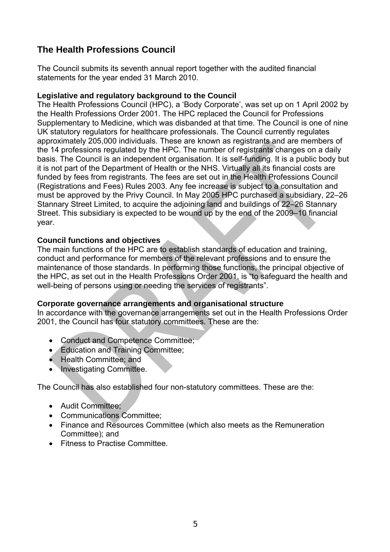# **The Health Professions Council**

The Council submits its seventh annual report together with the audited financial statements for the year ended 31 March 2010.

#### **Legislative and regulatory background to the Council**

The Health Professions Council (HPC), a 'Body Corporate', was set up on 1 April 2002 by the Health Professions Order 2001. The HPC replaced the Council for Professions Supplementary to Medicine, which was disbanded at that time. The Council is one of nine UK statutory regulators for healthcare professionals. The Council currently regulates approximately 205,000 individuals. These are known as registrants and are members of the 14 professions regulated by the HPC. The number of registrants changes on a daily basis. The Council is an independent organisation. It is self-funding. It is a public body but it is not part of the Department of Health or the NHS. Virtually all its financial costs are funded by fees from registrants. The fees are set out in the Health Professions Council (Registrations and Fees) Rules 2003. Any fee increase is subject to a consultation and must be approved by the Privy Council. In May 2005 HPC purchased a subsidiary, 22–26 Stannary Street Limited, to acquire the adjoining land and buildings of 22–26 Stannary Street. This subsidiary is expected to be wound up by the end of the 2009–10 financial year.

#### **Council functions and objectives**

The main functions of the HPC are to establish standards of education and training, conduct and performance for members of the relevant professions and to ensure the maintenance of those standards. In performing those functions, the principal objective of the HPC, as set out in the Health Professions Order 2001, is "to safeguard the health and well-being of persons using or needing the services of registrants".

# **Corporate governance arrangements and organisational structure**

In accordance with the governance arrangements set out in the Health Professions Order 2001, the Council has four statutory committees. These are the:

- Conduct and Competence Committee;
- Education and Training Committee;
- Health Committee; and
- Investigating Committee.

The Council has also established four non-statutory committees. These are the:

- Audit Committee;
- Communications Committee;
- Finance and Resources Committee (which also meets as the Remuneration Committee); and
- Fitness to Practise Committee.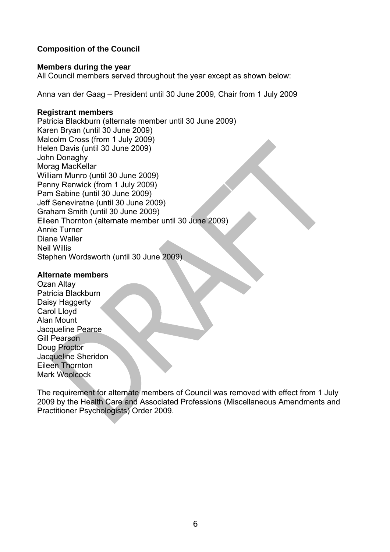# **Composition of the Council**

#### **Members during the year**

All Council members served throughout the year except as shown below:

Anna van der Gaag – President until 30 June 2009, Chair from 1 July 2009

#### **Registrant members**

Patricia Blackburn (alternate member until 30 June 2009) Karen Bryan (until 30 June 2009) Malcolm Cross (from 1 July 2009) Helen Davis (until 30 June 2009) John Donaghy Morag MacKellar William Munro (until 30 June 2009) Penny Renwick (from 1 July 2009) Pam Sabine (until 30 June 2009) Jeff Seneviratne (until 30 June 2009) Graham Smith (until 30 June 2009) Eileen Thornton (alternate member until 30 June 2009) Annie Turner Diane Waller Neil Willis Stephen Wordsworth (until 30 June 2009)

### **Alternate members**

Ozan Altay Patricia Blackburn Daisy Haggerty Carol Lloyd Alan Mount Jacqueline Pearce Gill Pearson Doug Proctor Jacqueline Sheridon Eileen Thornton Mark Woolcock

The requirement for alternate members of Council was removed with effect from 1 July 2009 by the Health Care and Associated Professions (Miscellaneous Amendments and Practitioner Psychologists) Order 2009.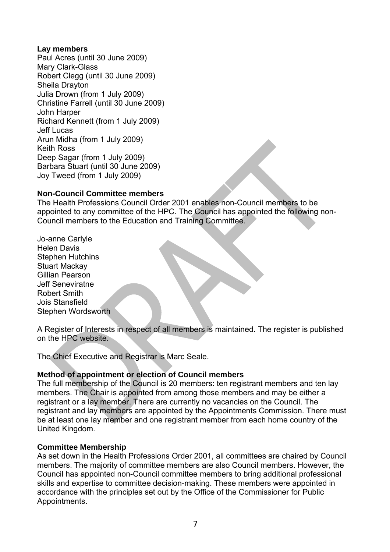#### **Lay members**

Paul Acres (until 30 June 2009) Mary Clark-Glass Robert Clegg (until 30 June 2009) Sheila Drayton Julia Drown (from 1 July 2009) Christine Farrell (until 30 June 2009) John Harper Richard Kennett (from 1 July 2009) Jeff Lucas Arun Midha (from 1 July 2009) Keith Ross Deep Sagar (from 1 July 2009) Barbara Stuart (until 30 June 2009) Joy Tweed (from 1 July 2009)

#### **Non-Council Committee members**

The Health Professions Council Order 2001 enables non-Council members to be appointed to any committee of the HPC. The Council has appointed the following non-Council members to the Education and Training Committee.

Jo-anne Carlyle Helen Davis Stephen Hutchins Stuart Mackay Gillian Pearson Jeff Seneviratne Robert Smith Jois Stansfield Stephen Wordsworth

A Register of Interests in respect of all members is maintained. The register is published on the HPC website.

The Chief Executive and Registrar is Marc Seale.

#### **Method of appointment or election of Council members**

The full membership of the Council is 20 members: ten registrant members and ten lay members. The Chair is appointed from among those members and may be either a registrant or a lay member. There are currently no vacancies on the Council. The registrant and lay members are appointed by the Appointments Commission. There must be at least one lay member and one registrant member from each home country of the United Kingdom.

#### **Committee Membership**

As set down in the Health Professions Order 2001, all committees are chaired by Council members. The majority of committee members are also Council members. However, the Council has appointed non-Council committee members to bring additional professional skills and expertise to committee decision-making. These members were appointed in accordance with the principles set out by the Office of the Commissioner for Public Appointments.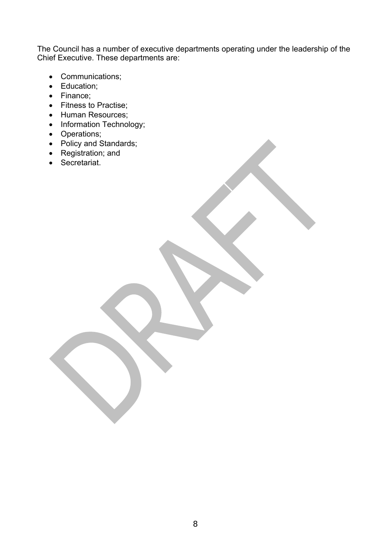The Council has a number of executive departments operating under the leadership of the Chief Executive. These departments are:

- Communications;
- Education;
- Finance;
- Fitness to Practise;
- Human Resources;
- Information Technology;
- Operations;
- Policy and Standards;
- Registration; and
- Secretariat.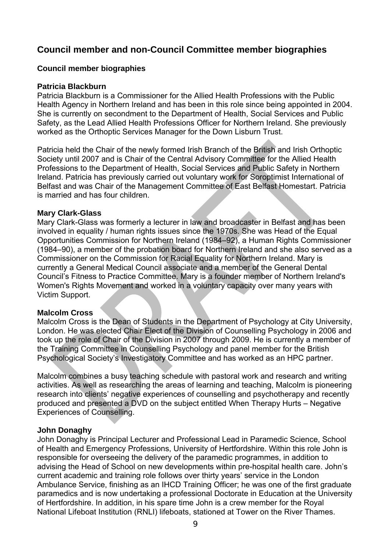# **Council member and non-Council Committee member biographies**

#### **Council member biographies**

#### **Patricia Blackburn**

Patricia Blackburn is a Commissioner for the Allied Health Professions with the Public Health Agency in Northern Ireland and has been in this role since being appointed in 2004. She is currently on secondment to the Department of Health, Social Services and Public Safety, as the Lead Allied Health Professions Officer for Northern Ireland. She previously worked as the Orthoptic Services Manager for the Down Lisburn Trust.

Patricia held the Chair of the newly formed Irish Branch of the British and Irish Orthoptic Society until 2007 and is Chair of the Central Advisory Committee for the Allied Health Professions to the Department of Health, Social Services and Public Safety in Northern Ireland. Patricia has previously carried out voluntary work for Soroptimist International of Belfast and was Chair of the Management Committee of East Belfast Homestart. Patricia is married and has four children.

#### **Mary Clark-Glass**

Mary Clark-Glass was formerly a lecturer in law and broadcaster in Belfast and has been involved in equality / human rights issues since the 1970s. She was Head of the Equal Opportunities Commission for Northern Ireland (1984–92), a Human Rights Commissioner (1984–90), a member of the probation board for Northern Ireland and she also served as a Commissioner on the Commission for Racial Equality for Northern Ireland. Mary is currently a General Medical Council associate and a member of the General Dental Council's Fitness to Practice Committee. Mary is a founder member of Northern Ireland's Women's Rights Movement and worked in a voluntary capacity over many years with Victim Support.

#### **Malcolm Cross**

Malcolm Cross is the Dean of Students in the Department of Psychology at City University, London. He was elected Chair Elect of the Division of Counselling Psychology in 2006 and took up the role of Chair of the Division in 2007 through 2009. He is currently a member of the Training Committee in Counselling Psychology and panel member for the British Psychological Society's Investigatory Committee and has worked as an HPC partner.

Malcolm combines a busy teaching schedule with pastoral work and research and writing activities. As well as researching the areas of learning and teaching, Malcolm is pioneering research into clients' negative experiences of counselling and psychotherapy and recently produced and presented a DVD on the subject entitled When Therapy Hurts – Negative Experiences of Counselling.

#### **John Donaghy**

John Donaghy is Principal Lecturer and Professional Lead in Paramedic Science, School of Health and Emergency Professions, University of Hertfordshire. Within this role John is responsible for overseeing the delivery of the paramedic programmes, in addition to advising the Head of School on new developments within pre-hospital health care. John's current academic and training role follows over thirty years' service in the London Ambulance Service, finishing as an IHCD Training Officer; he was one of the first graduate paramedics and is now undertaking a professional Doctorate in Education at the University of Hertfordshire. In addition, in his spare time John is a crew member for the Royal National Lifeboat Institution (RNLI) lifeboats, stationed at Tower on the River Thames.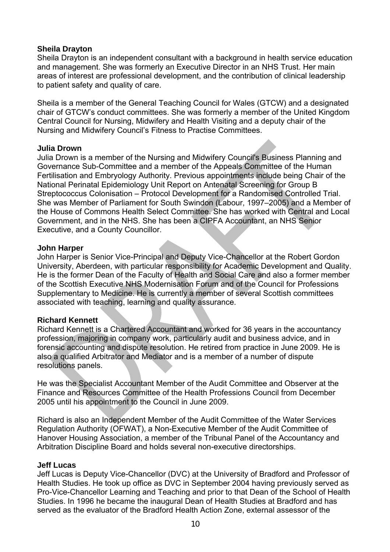#### **Sheila Drayton**

Sheila Drayton is an independent consultant with a background in health service education and management. She was formerly an Executive Director in an NHS Trust. Her main areas of interest are professional development, and the contribution of clinical leadership to patient safety and quality of care.

Sheila is a member of the General Teaching Council for Wales (GTCW) and a designated chair of GTCW's conduct committees. She was formerly a member of the United Kingdom Central Council for Nursing, Midwifery and Health Visiting and a deputy chair of the Nursing and Midwifery Council's Fitness to Practise Committees.

#### **Julia Drown**

Julia Drown is a member of the Nursing and Midwifery Council's Business Planning and Governance Sub-Committee and a member of the Appeals Committee of the Human Fertilisation and Embryology Authority. Previous appointments include being Chair of the National Perinatal Epidemiology Unit Report on Antenatal Screening for Group B Streptococcus Colonisation – Protocol Development for a Randomised Controlled Trial. She was Member of Parliament for South Swindon (Labour, 1997–2005) and a Member of the House of Commons Health Select Committee. She has worked with Central and Local Government, and in the NHS. She has been a CIPFA Accountant, an NHS Senior Executive, and a County Councillor.

#### **John Harper**

John Harper is Senior Vice-Principal and Deputy Vice-Chancellor at the Robert Gordon University, Aberdeen, with particular responsibility for Academic Development and Quality. He is the former Dean of the Faculty of Health and Social Care and also a former member of the Scottish Executive NHS Modernisation Forum and of the Council for Professions Supplementary to Medicine. He is currently a member of several Scottish committees associated with teaching, learning and quality assurance.

# **Richard Kennett**

Richard Kennett is a Chartered Accountant and worked for 36 years in the accountancy profession, majoring in company work, particularly audit and business advice, and in forensic accounting and dispute resolution. He retired from practice in June 2009. He is also a qualified Arbitrator and Mediator and is a member of a number of dispute resolutions panels.

He was the Specialist Accountant Member of the Audit Committee and Observer at the Finance and Resources Committee of the Health Professions Council from December 2005 until his appointment to the Council in June 2009.

Richard is also an Independent Member of the Audit Committee of the Water Services Regulation Authority (OFWAT), a Non-Executive Member of the Audit Committee of Hanover Housing Association, a member of the Tribunal Panel of the Accountancy and Arbitration Discipline Board and holds several non-executive directorships.

#### **Jeff Lucas**

Jeff Lucas is Deputy Vice-Chancellor (DVC) at the University of Bradford and Professor of Health Studies. He took up office as DVC in September 2004 having previously served as Pro-Vice-Chancellor Learning and Teaching and prior to that Dean of the School of Health Studies. In 1996 he became the inaugural Dean of Health Studies at Bradford and has served as the evaluator of the Bradford Health Action Zone, external assessor of the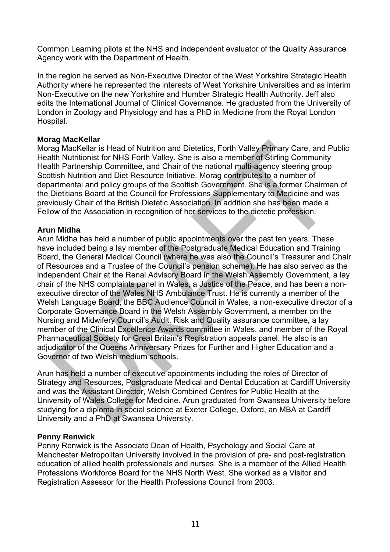Common Learning pilots at the NHS and independent evaluator of the Quality Assurance Agency work with the Department of Health.

In the region he served as Non-Executive Director of the West Yorkshire Strategic Health Authority where he represented the interests of West Yorkshire Universities and as interim Non-Executive on the new Yorkshire and Humber Strategic Health Authority. Jeff also edits the International Journal of Clinical Governance. He graduated from the University of London in Zoology and Physiology and has a PhD in Medicine from the Royal London Hospital.

#### **Morag MacKellar**

Morag MacKellar is Head of Nutrition and Dietetics, Forth Valley Primary Care, and Public Health Nutritionist for NHS Forth Valley. She is also a member of Stirling Community Health Partnership Committee, and Chair of the national multi-agency steering group Scottish Nutrition and Diet Resource Initiative. Morag contributes to a number of departmental and policy groups of the Scottish Government. She is a former Chairman of the Dietitians Board at the Council for Professions Supplementary to Medicine and was previously Chair of the British Dietetic Association. In addition she has been made a Fellow of the Association in recognition of her services to the dietetic profession.

#### **Arun Midha**

Arun Midha has held a number of public appointments over the past ten years. These have included being a lay member of the Postgraduate Medical Education and Training Board, the General Medical Council (where he was also the Council's Treasurer and Chair of Resources and a Trustee of the Council's pension scheme). He has also served as the independent Chair at the Renal Advisory Board in the Welsh Assembly Government, a lay chair of the NHS complaints panel in Wales, a Justice of the Peace, and has been a nonexecutive director of the Wales NHS Ambulance Trust. He is currently a member of the Welsh Language Board, the BBC Audience Council in Wales, a non-executive director of a Corporate Governance Board in the Welsh Assembly Government, a member on the Nursing and Midwifery Council's Audit, Risk and Quality assurance committee, a lay member of the Clinical Excellence Awards committee in Wales, and member of the Royal Pharmaceutical Society for Great Britain's Registration appeals panel. He also is an adjudicator of the Queens Anniversary Prizes for Further and Higher Education and a Governor of two Welsh medium schools.

Arun has held a number of executive appointments including the roles of Director of Strategy and Resources, Postgraduate Medical and Dental Education at Cardiff University and was the Assistant Director, Welsh Combined Centres for Public Health at the University of Wales College for Medicine. Arun graduated from Swansea University before studying for a diploma in social science at Exeter College, Oxford, an MBA at Cardiff University and a PhD at Swansea University.

# **Penny Renwick**

Penny Renwick is the Associate Dean of Health, Psychology and Social Care at Manchester Metropolitan University involved in the provision of pre- and post-registration education of allied health professionals and nurses. She is a member of the Allied Health Professions Workforce Board for the NHS North West. She worked as a Visitor and Registration Assessor for the Health Professions Council from 2003.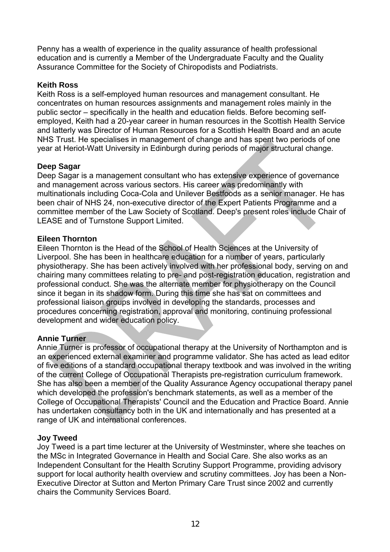Penny has a wealth of experience in the quality assurance of health professional education and is currently a Member of the Undergraduate Faculty and the Quality Assurance Committee for the Society of Chiropodists and Podiatrists.

### **Keith Ross**

Keith Ross is a self-employed human resources and management consultant. He concentrates on human resources assignments and management roles mainly in the public sector – specifically in the health and education fields. Before becoming selfemployed, Keith had a 20-year career in human resources in the Scottish Health Service and latterly was Director of Human Resources for a Scottish Health Board and an acute NHS Trust. He specialises in management of change and has spent two periods of one year at Heriot-Watt University in Edinburgh during periods of major structural change.

# **Deep Sagar**

Deep Sagar is a management consultant who has extensive experience of governance and management across various sectors. His career was predominantly with multinationals including Coca-Cola and Unilever Bestfoods as a senior manager. He has been chair of NHS 24, non-executive director of the Expert Patients Programme and a committee member of the Law Society of Scotland. Deep's present roles include Chair of LEASE and of Turnstone Support Limited.

#### **Eileen Thornton**

Eileen Thornton is the Head of the School of Health Sciences at the University of Liverpool. She has been in healthcare education for a number of years, particularly physiotherapy. She has been actively involved with her professional body, serving on and chairing many committees relating to pre- and post-registration education, registration and professional conduct. She was the alternate member for physiotherapy on the Council since it began in its shadow form. During this time she has sat on committees and professional liaison groups involved in developing the standards, processes and procedures concerning registration, approval and monitoring, continuing professional development and wider education policy.

# **Annie Turner**

Annie Turner is professor of occupational therapy at the University of Northampton and is an experienced external examiner and programme validator. She has acted as lead editor of five editions of a standard occupational therapy textbook and was involved in the writing of the current College of Occupational Therapists pre-registration curriculum framework. She has also been a member of the Quality Assurance Agency occupational therapy panel which developed the profession's benchmark statements, as well as a member of the College of Occupational Therapists' Council and the Education and Practice Board. Annie has undertaken consultancy both in the UK and internationally and has presented at a range of UK and international conferences.

#### **Joy Tweed**

Joy Tweed is a part time lecturer at the University of Westminster, where she teaches on the MSc in Integrated Governance in Health and Social Care. She also works as an Independent Consultant for the Health Scrutiny Support Programme, providing advisory support for local authority health overview and scrutiny committees. Joy has been a Non-Executive Director at Sutton and Merton Primary Care Trust since 2002 and currently chairs the Community Services Board.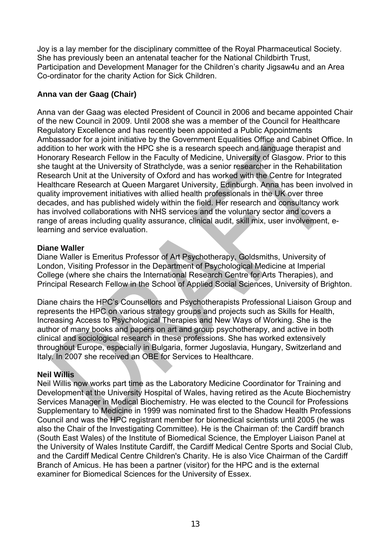Joy is a lay member for the disciplinary committee of the Royal Pharmaceutical Society. She has previously been an antenatal teacher for the National Childbirth Trust, Participation and Development Manager for the Children's charity Jigsaw4u and an Area Co-ordinator for the charity Action for Sick Children.

# **Anna van der Gaag (Chair)**

Anna van der Gaag was elected President of Council in 2006 and became appointed Chair of the new Council in 2009. Until 2008 she was a member of the Council for Healthcare Regulatory Excellence and has recently been appointed a Public Appointments Ambassador for a joint initiative by the Government Equalities Office and Cabinet Office. In addition to her work with the HPC she is a research speech and language therapist and Honorary Research Fellow in the Faculty of Medicine, University of Glasgow. Prior to this she taught at the University of Strathclyde, was a senior researcher in the Rehabilitation Research Unit at the University of Oxford and has worked with the Centre for Integrated Healthcare Research at Queen Margaret University, Edinburgh. Anna has been involved in quality improvement initiatives with allied health professionals in the UK over three decades, and has published widely within the field. Her research and consultancy work has involved collaborations with NHS services and the voluntary sector and covers a range of areas including quality assurance, clinical audit, skill mix, user involvement, elearning and service evaluation.

#### **Diane Waller**

Diane Waller is Emeritus Professor of Art Psychotherapy, Goldsmiths, University of London, Visiting Professor in the Department of Psychological Medicine at Imperial College (where she chairs the International Research Centre for Arts Therapies), and Principal Research Fellow in the School of Applied Social Sciences, University of Brighton.

Diane chairs the HPC's Counsellors and Psychotherapists Professional Liaison Group and represents the HPC on various strategy groups and projects such as Skills for Health, Increasing Access to Psychological Therapies and New Ways of Working. She is the author of many books and papers on art and group psychotherapy, and active in both clinical and sociological research in these professions. She has worked extensively throughout Europe, especially in Bulgaria, former Jugoslavia, Hungary, Switzerland and Italy. In 2007 she received an OBE for Services to Healthcare.

# **Neil Willis**

Neil Willis now works part time as the Laboratory Medicine Coordinator for Training and Development at the University Hospital of Wales, having retired as the Acute Biochemistry Services Manager in Medical Biochemistry. He was elected to the Council for Professions Supplementary to Medicine in 1999 was nominated first to the Shadow Health Professions Council and was the HPC registrant member for biomedical scientists until 2005 (he was also the Chair of the Investigating Committee). He is the Chairman of: the Cardiff branch (South East Wales) of the Institute of Biomedical Science, the Employer Liaison Panel at the University of Wales Institute Cardiff, the Cardiff Medical Centre Sports and Social Club, and the Cardiff Medical Centre Children's Charity. He is also Vice Chairman of the Cardiff Branch of Amicus. He has been a partner (visitor) for the HPC and is the external examiner for Biomedical Sciences for the University of Essex.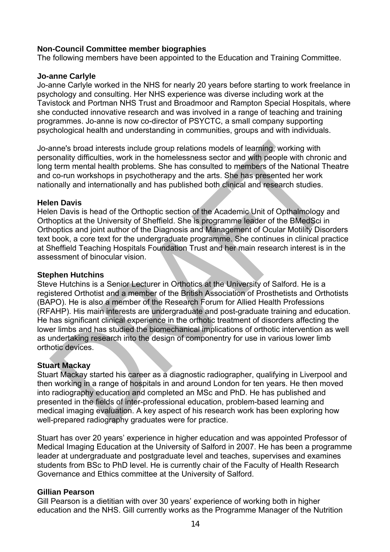#### **Non-Council Committee member biographies**

The following members have been appointed to the Education and Training Committee.

#### **Jo-anne Carlyle**

Jo-anne Carlyle worked in the NHS for nearly 20 years before starting to work freelance in psychology and consulting. Her NHS experience was diverse including work at the Tavistock and Portman NHS Trust and Broadmoor and Rampton Special Hospitals, where she conducted innovative research and was involved in a range of teaching and training programmes. Jo-anne is now co-director of PSYCTC, a small company supporting psychological health and understanding in communities, groups and with individuals.

Jo-anne's broad interests include group relations models of learning, working with personality difficulties, work in the homelessness sector and with people with chronic and long term mental health problems. She has consulted to members of the National Theatre and co-run workshops in psychotherapy and the arts. She has presented her work nationally and internationally and has published both clinical and research studies.

#### **Helen Davis**

Helen Davis is head of the Orthoptic section of the Academic Unit of Opthalmology and Orthoptics at the University of Sheffield. She is programme leader of the BMedSci in Orthoptics and joint author of the Diagnosis and Management of Ocular Motility Disorders text book, a core text for the undergraduate programme. She continues in clinical practice at Sheffield Teaching Hospitals Foundation Trust and her main research interest is in the assessment of binocular vision.

#### **Stephen Hutchins**

Steve Hutchins is a Senior Lecturer in Orthotics at the University of Salford. He is a registered Orthotist and a member of the British Association of Prosthetists and Orthotists (BAPO). He is also a member of the Research Forum for Allied Health Professions (RFAHP). His main interests are undergraduate and post-graduate training and education. He has significant clinical experience in the orthotic treatment of disorders affecting the lower limbs and has studied the biomechanical implications of orthotic intervention as well as undertaking research into the design of componentry for use in various lower limb orthotic devices.

# **Stuart Mackay**

Stuart Mackay started his career as a diagnostic radiographer, qualifying in Liverpool and then working in a range of hospitals in and around London for ten years. He then moved into radiography education and completed an MSc and PhD. He has published and presented in the fields of inter-professional education, problem-based learning and medical imaging evaluation. A key aspect of his research work has been exploring how well-prepared radiography graduates were for practice.

Stuart has over 20 years' experience in higher education and was appointed Professor of Medical Imaging Education at the University of Salford in 2007. He has been a programme leader at undergraduate and postgraduate level and teaches, supervises and examines students from BSc to PhD level. He is currently chair of the Faculty of Health Research Governance and Ethics committee at the University of Salford.

#### **Gillian Pearson**

Gill Pearson is a dietitian with over 30 years' experience of working both in higher education and the NHS. Gill currently works as the Programme Manager of the Nutrition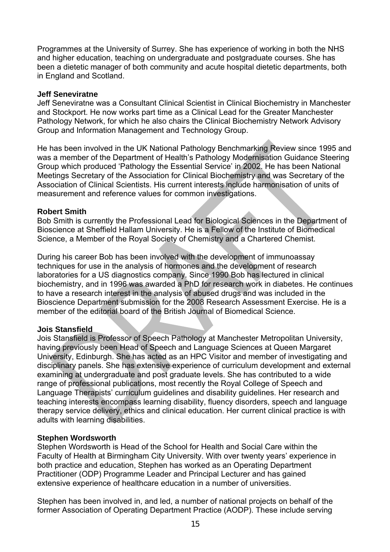Programmes at the University of Surrey. She has experience of working in both the NHS and higher education, teaching on undergraduate and postgraduate courses. She has been a dietetic manager of both community and acute hospital dietetic departments, both in England and Scotland.

#### **Jeff Seneviratne**

Jeff Seneviratne was a Consultant Clinical Scientist in Clinical Biochemistry in Manchester and Stockport. He now works part time as a Clinical Lead for the Greater Manchester Pathology Network, for which he also chairs the Clinical Biochemistry Network Advisory Group and Information Management and Technology Group.

He has been involved in the UK National Pathology Benchmarking Review since 1995 and was a member of the Department of Health's Pathology Modernisation Guidance Steering Group which produced 'Pathology the Essential Service' in 2002. He has been National Meetings Secretary of the Association for Clinical Biochemistry and was Secretary of the Association of Clinical Scientists. His current interests include harmonisation of units of measurement and reference values for common investigations.

#### **Robert Smith**

Bob Smith is currently the Professional Lead for Biological Sciences in the Department of Bioscience at Sheffield Hallam University. He is a Fellow of the Institute of Biomedical Science, a Member of the Royal Society of Chemistry and a Chartered Chemist.

During his career Bob has been involved with the development of immunoassay techniques for use in the analysis of hormones and the development of research laboratories for a US diagnostics company. Since 1990 Bob has lectured in clinical biochemistry, and in 1996 was awarded a PhD for research work in diabetes. He continues to have a research interest in the analysis of abused drugs and was included in the Bioscience Department submission for the 2008 Research Assessment Exercise. He is a member of the editorial board of the British Journal of Biomedical Science.

# **Jois Stansfield**

Jois Stansfield is Professor of Speech Pathology at Manchester Metropolitan University, having previously been Head of Speech and Language Sciences at Queen Margaret University, Edinburgh. She has acted as an HPC Visitor and member of investigating and disciplinary panels. She has extensive experience of curriculum development and external examining at undergraduate and post graduate levels. She has contributed to a wide range of professional publications, most recently the Royal College of Speech and Language Therapists' curriculum guidelines and disability guidelines. Her research and teaching interests encompass learning disability, fluency disorders, speech and language therapy service delivery, ethics and clinical education. Her current clinical practice is with adults with learning disabilities.

#### **Stephen Wordsworth**

Stephen Wordsworth is Head of the School for Health and Social Care within the Faculty of Health at Birmingham City University. With over twenty years' experience in both practice and education, Stephen has worked as an Operating Department Practitioner (ODP) Programme Leader and Principal Lecturer and has gained extensive experience of healthcare education in a number of universities.

Stephen has been involved in, and led, a number of national projects on behalf of the former Association of Operating Department Practice (AODP). These include serving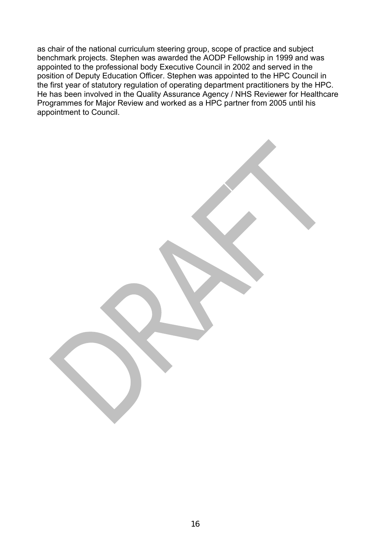as chair of the national curriculum steering group, scope of practice and subject benchmark projects. Stephen was awarded the AODP Fellowship in 1999 and was appointed to the professional body Executive Council in 2002 and served in the position of Deputy Education Officer. Stephen was appointed to the HPC Council in the first year of statutory regulation of operating department practitioners by the HPC. He has been involved in the Quality Assurance Agency / NHS Reviewer for Healthcare Programmes for Major Review and worked as a HPC partner from 2005 until his appointment to Council.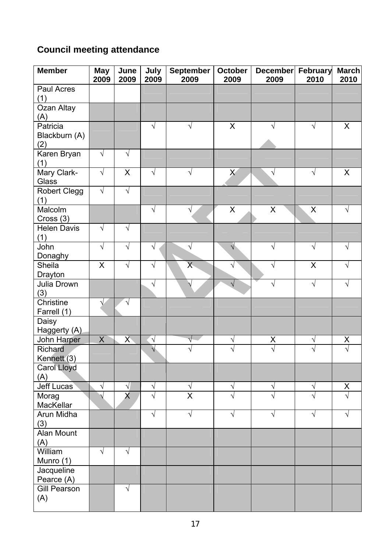# **Council meeting attendance**

| <b>Member</b>                            | <b>May</b><br>2009 | June<br>2009                         | July<br>2009            | <b>September</b><br>2009             | <b>October</b><br>2009 | December<br>2009                | February<br>2010          | <b>March</b><br>2010 |
|------------------------------------------|--------------------|--------------------------------------|-------------------------|--------------------------------------|------------------------|---------------------------------|---------------------------|----------------------|
| Paul Acres<br>(1)                        |                    |                                      |                         |                                      |                        |                                 |                           |                      |
| Ozan Altay<br>(A)                        |                    |                                      |                         |                                      |                        |                                 |                           |                      |
| Patricia<br>Blackburn (A)<br>(2)         |                    |                                      | $\sqrt{}$               | ٦                                    | X                      | $\sqrt{}$                       | $\sqrt{}$                 | X                    |
| Karen Bryan<br>(1)                       | $\sqrt{}$          | $\sqrt{}$                            |                         |                                      |                        |                                 |                           |                      |
| Mary Clark-<br>Glass                     | $\sqrt{}$          | X                                    | √                       | $\sqrt{}$                            | $\mathsf{X}$           | $\sqrt{}$                       | $\sqrt{}$                 | X                    |
| <b>Robert Clegg</b><br>(1)               | $\sqrt{}$          | $\sqrt{}$                            |                         |                                      |                        |                                 |                           |                      |
| Malcolm<br>Cross (3)                     |                    |                                      | $\sqrt{ }$              | $\sqrt{}$                            | $\mathsf{X}$           | $\mathsf{X}$                    | $\boldsymbol{\mathsf{X}}$ | √                    |
| <b>Helen Davis</b><br>(1)                | $\sqrt{ }$         | $\sqrt{}$                            |                         |                                      |                        |                                 |                           |                      |
| John<br>Donaghy                          | $\sqrt{}$          | $\sqrt{}$                            | V                       | $\sqrt{}$                            | $\sqrt{}$              | $\sqrt{}$                       | $\sqrt{}$                 | V                    |
| Sheila<br>Drayton                        | $\sf X$            | $\sqrt{}$                            | $\sqrt{}$               | X                                    |                        | $\sqrt{}$                       | $\sf X$                   | V                    |
| Julia Drown<br>(3)                       |                    |                                      | $\sqrt{}$               | V                                    | V                      | $\sqrt{}$                       | $\sqrt{}$                 |                      |
| Christine<br>Farrell (1)                 |                    | $\sqrt{}$                            |                         |                                      |                        |                                 |                           |                      |
| Daisy<br>Haggerty (A)                    |                    |                                      |                         |                                      |                        |                                 |                           |                      |
| John Harper<br>Richard                   | $\pmb{\mathsf{X}}$ | $\overline{X}$                       | $\sqrt{ }$<br>$\sqrt{}$ |                                      | V                      | X<br>$\overline{\sqrt{} }$      | $\sqrt{}$<br>V            | $\mathsf X$<br>V     |
| Kennett (3)<br><b>Carol Lloyd</b><br>(A) |                    |                                      |                         |                                      |                        |                                 |                           |                      |
| <b>Jeff Lucas</b>                        | $\sqrt{}$          | $\sqrt{}$<br>$\overline{\mathsf{x}}$ | V                       | $\sqrt{}$<br>$\overline{\mathsf{x}}$ | V                      | $\sqrt{}$<br>$\mathbf{\hat{v}}$ | $\sqrt{}$                 | X                    |
| Morag<br>MacKellar                       |                    |                                      |                         |                                      |                        |                                 |                           |                      |
| Arun Midha<br>(3)                        |                    |                                      | √                       | $\sqrt{}$                            | √                      | $\sqrt{}$                       | $\sqrt{ }$                |                      |
| <b>Alan Mount</b><br>(A)                 |                    |                                      |                         |                                      |                        |                                 |                           |                      |
| William<br>Munro (1)                     | $\sqrt{}$          | $\sqrt{}$                            |                         |                                      |                        |                                 |                           |                      |
| Jacqueline<br>Pearce (A)                 |                    |                                      |                         |                                      |                        |                                 |                           |                      |
| Gill Pearson<br>(A)                      |                    | $\sqrt{}$                            |                         |                                      |                        |                                 |                           |                      |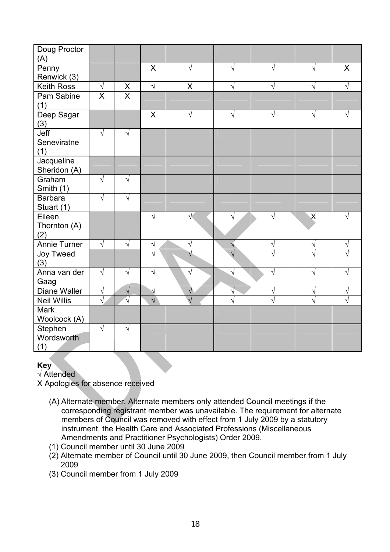| Doug Proctor<br>(A)           |                         |                         |            |            |           |                         |                       |   |
|-------------------------------|-------------------------|-------------------------|------------|------------|-----------|-------------------------|-----------------------|---|
| Penny<br>Renwick (3)          |                         |                         | X          | $\sqrt{}$  | √         | $\sqrt{}$               | $\sqrt{}$             | X |
| <b>Keith Ross</b>             | $\sqrt{ }$              | X                       | $\sqrt{ }$ | X          | V         | $\sqrt{}$               | $\sqrt{ }$            | √ |
| Pam Sabine<br>(1)             | $\overline{\mathsf{X}}$ | $\overline{\mathsf{x}}$ |            |            |           |                         |                       |   |
| Deep Sagar<br>(3)             |                         |                         | X          | $\sqrt{}$  | V         | $\sqrt{}$               | $\sqrt{}$             | V |
| Jeff<br>Seneviratne<br>(1)    | $\sqrt{}$               | $\sqrt{}$               |            |            |           |                         |                       |   |
| Jacqueline<br>Sheridon (A)    |                         |                         |            |            |           |                         |                       |   |
| Graham<br>Smith (1)           | $\sqrt{}$               | $\sqrt{}$               |            |            |           |                         |                       |   |
| <b>Barbara</b><br>Stuart (1)  | $\sqrt{}$               | $\sqrt{ }$              |            |            |           |                         |                       |   |
| Eileen<br>Thornton (A)<br>(2) |                         |                         | V          |            | √         | $\sqrt{}$               | X                     |   |
| <b>Annie Turner</b>           | $\sqrt{ }$              | $\sqrt{ }$              | V          | $\sqrt{}$  | ٧         | $\sqrt{}$               | $\sqrt{}$             | V |
| Joy Tweed<br>(3)              |                         |                         |            |            |           | N                       |                       |   |
| Anna van der<br>Gaag          | $\sqrt{}$               | $\sqrt{ }$              | $\sqrt{}$  | $\sqrt{ }$ | $\sqrt{}$ | $\sqrt{}$               | $\sqrt{}$             |   |
| <b>Diane Waller</b>           | $\sqrt{}$               | $\sqrt{}$               |            | $\sqrt{}$  | V         | N                       | $\sqrt{}$             | ٦ |
| <b>Neil Willis</b>            | $\overline{\sqrt{} }$   |                         | $\sqrt{}$  |            |           | $\overline{\mathbf{v}}$ | $\overline{\sqrt{2}}$ |   |
| <b>Mark</b><br>Woolcock (A)   |                         |                         |            |            |           |                         |                       |   |
| Stephen<br>Wordsworth<br>(1)  | $\sqrt{}$               | $\sqrt{}$               |            |            |           |                         |                       |   |

### **Key**

√ Attended

X Apologies for absence received

- (A) Alternate member. Alternate members only attended Council meetings if the corresponding registrant member was unavailable. The requirement for alternate members of Council was removed with effect from 1 July 2009 by a statutory instrument, the Health Care and Associated Professions (Miscellaneous Amendments and Practitioner Psychologists) Order 2009.
- (1) Council member until 30 June 2009
- (2) Alternate member of Council until 30 June 2009, then Council member from 1 July 2009
- (3) Council member from 1 July 2009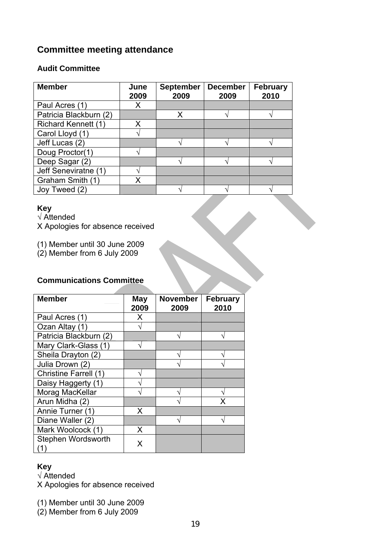# **Committee meeting attendance**

### **Audit Committee**

| <b>Member</b>              | June<br>2009 | <b>September</b><br>2009 | <b>December</b><br>2009 | <b>February</b><br>2010 |
|----------------------------|--------------|--------------------------|-------------------------|-------------------------|
| Paul Acres (1)             | X            |                          |                         |                         |
| Patricia Blackburn (2)     |              | Х                        |                         |                         |
| <b>Richard Kennett (1)</b> | x            |                          |                         |                         |
| Carol Lloyd (1)            |              |                          |                         |                         |
| Jeff Lucas (2)             |              |                          |                         |                         |
| Doug Proctor(1)            |              |                          |                         |                         |
| Deep Sagar (2)             |              |                          |                         |                         |
| Jeff Seneviratne (1)       |              |                          |                         |                         |
| Graham Smith (1)           | x            |                          |                         |                         |
| Joy Tweed (2)              |              |                          |                         |                         |

# **Key**

√ Attended

X Apologies for absence received

(1) Member until 30 June 2009

(2) Member from 6 July 2009

# **Communications Committee**

| <b>Member</b>             | May<br>2009 | <b>November</b><br>2009 | February<br>2010 |
|---------------------------|-------------|-------------------------|------------------|
| Paul Acres (1)            | x           |                         |                  |
| Ozan Altay (1)            |             |                         |                  |
| Patricia Blackburn (2)    |             |                         |                  |
| Mary Clark-Glass (1)      |             |                         |                  |
| Sheila Drayton (2)        |             |                         |                  |
| Julia Drown (2)           |             |                         |                  |
| Christine Farrell (1)     |             |                         |                  |
| Daisy Haggerty (1)        |             |                         |                  |
| Morag MacKellar           |             |                         |                  |
| Arun Midha (2)            |             |                         |                  |
| Annie Turner (1)          | X           |                         |                  |
| Diane Waller (2)          |             |                         |                  |
| Mark Woolcock (1)         | X           |                         |                  |
| Stephen Wordsworth<br>(1) | x           |                         |                  |

# **Key**

√ Attended

X Apologies for absence received

(1) Member until 30 June 2009

(2) Member from 6 July 2009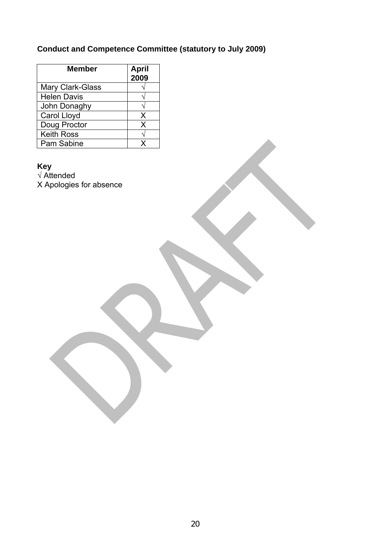# **Conduct and Competence Committee (statutory to July 2009)**

| <b>Member</b>           | <b>April</b><br>2009 |
|-------------------------|----------------------|
| <b>Mary Clark-Glass</b> |                      |
| <b>Helen Davis</b>      |                      |
| John Donaghy            |                      |
| Carol Lloyd             | X                    |
| Doug Proctor            | X                    |
| <b>Keith Ross</b>       |                      |
| Pam Sabine              |                      |

**Key** 

√ Attended X Apologies for absence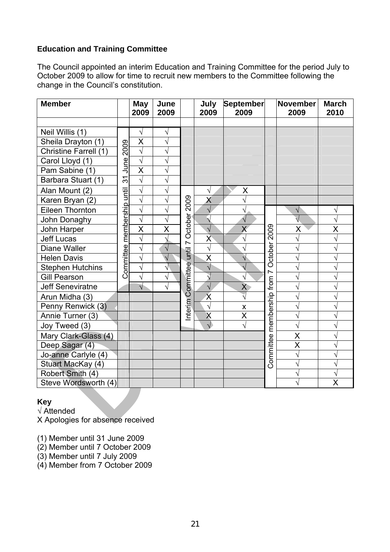# **Education and Training Committee**

The Council appointed an interim Education and Training Committee for the period July to October 2009 to allow for time to recruit new members to the Committee following the change in the Council's constitution.

| <b>Member</b>           |            | <b>May</b><br>2009      | June<br>2009 |           | July<br>2009            | September<br>2009       |                | <b>November</b><br>2009 | <b>March</b><br>2010    |
|-------------------------|------------|-------------------------|--------------|-----------|-------------------------|-------------------------|----------------|-------------------------|-------------------------|
|                         |            |                         |              |           |                         |                         |                |                         |                         |
| Neil Willis (1)         |            | $\sqrt{}$               | $\sqrt{}$    |           |                         |                         |                |                         |                         |
| Sheila Drayton (1)      |            | $\overline{\mathsf{x}}$ | N            |           |                         |                         |                |                         |                         |
| Christine Farrell (1)   | 2009       | $\overline{\sqrt{ }}$   | $\sqrt{}$    |           |                         |                         |                |                         |                         |
| Carol Lloyd (1)         | June       | $\overline{\sqrt{} }$   | N            |           |                         |                         |                |                         |                         |
| Pam Sabine (1)          |            | $\overline{\mathsf{x}}$ | $\sqrt{}$    |           |                         |                         |                |                         |                         |
| Barbara Stuart (1)      | 37         | $\sqrt{}$               | N            |           |                         |                         |                |                         |                         |
| Alan Mount (2)          | until      | $\sqrt{ }$              | $\sqrt{}$    |           | $\sqrt{}$               | Χ                       |                |                         |                         |
| Karen Bryan (2)         |            | $\overline{\sqrt{} }$   | $\sqrt{}$    | 2009      | X                       |                         |                |                         |                         |
| <b>Eileen Thornton</b>  | membership | $\sqrt{}$               | $\sqrt{}$    |           | $\sqrt{}$               | V                       |                | $\sqrt{}$               | $\sqrt{}$               |
| John Donaghy            |            | $\sqrt{}$               | $\sqrt{}$    | October   | $\mathbf{v}$            |                         |                |                         | $\sqrt{}$               |
| John Harper             |            | $\overline{\mathsf{x}}$ | X            |           | $\sqrt{}$               | $\overline{\mathsf{X}}$ | 2009           | X                       | X                       |
| <b>Jeff Lucas</b>       |            | $\sqrt{}$               | Ŋ            |           | $\overline{\mathsf{x}}$ | V                       |                | $\rightsquigarrow$      | $\sqrt{}$               |
| <b>Diane Waller</b>     | Committee  | $\sqrt{ }$              | $\sqrt{}$    | until 7   | $\sqrt{}$               | $\sqrt{}$               | October        | $\sqrt{}$               | $\overline{\sqrt{2}}$   |
| <b>Helen Davis</b>      |            | $\overline{\sqrt{ }}$   | $\mathbf{v}$ |           | X                       | $\sqrt{}$               |                | V                       | $\overline{\sqrt{2}}$   |
| <b>Stephen Hutchins</b> |            | $\sqrt{}$               | V            |           | $\sqrt{}$               |                         | $\overline{ }$ |                         | V                       |
| <b>Gill Pearson</b>     |            | $\sqrt{}$               | $\sqrt{}$    |           | $\overline{\sqrt{ }}$   | V                       | from           |                         | N                       |
| <b>Jeff Seneviratne</b> |            | $\sqrt{}$               | V            | Committee | $\sqrt{}$               | $\overline{X}$          |                |                         | V                       |
| Arun Midha (3)          |            |                         |              |           | $\overline{\mathsf{x}}$ | $\overline{\sqrt{} }$   | membership     |                         | $\overline{\mathsf{v}}$ |
| Penny Renwick (3)       |            |                         |              | nterim    | $\sqrt{}$               | $\pmb{\mathsf{X}}$      |                |                         |                         |
| Annie Turner (3)        |            |                         |              |           | X                       | $\overline{\mathsf{x}}$ |                | V                       | $\sqrt{}$               |
| Joy Tweed (3)           |            |                         |              |           |                         |                         |                | $\sqrt{}$               | V                       |
| Mary Clark-Glass (4)    |            |                         |              |           |                         |                         |                | X                       | $\sqrt{}$               |
| Deep Sagar (4)          |            |                         |              |           |                         |                         |                | $\overline{\mathsf{x}}$ | V                       |
| Jo-anne Carlyle (4)     |            |                         |              |           |                         |                         | Committee      | $\sqrt{}$               | $\overline{\sqrt{2}}$   |
| Stuart MacKay (4)       |            |                         |              |           |                         |                         |                |                         | N                       |
| Robert Smith (4)        |            |                         |              |           |                         |                         |                |                         | $\sqrt{}$               |
| Steve Wordsworth (4)    |            |                         |              |           |                         |                         |                |                         | X                       |

# **Key**

√ Attended

X Apologies for absence received

(1) Member until 31 June 2009

(2) Member until 7 October 2009

(3) Member until 7 July 2009

(4) Member from 7 October 2009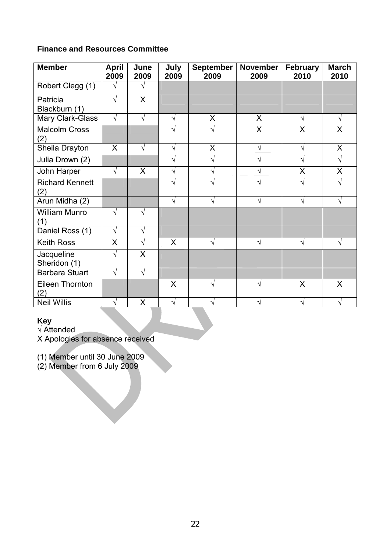# **Finance and Resources Committee**

| <b>Member</b>                 | <b>April</b><br>2009 | June<br>2009 | July<br>2009 | <b>September</b><br>2009 | <b>November</b><br>2009 | <b>February</b><br>2010 | <b>March</b><br>2010 |
|-------------------------------|----------------------|--------------|--------------|--------------------------|-------------------------|-------------------------|----------------------|
| Robert Clegg (1)              | V                    | V            |              |                          |                         |                         |                      |
| Patricia<br>Blackburn (1)     | $\sqrt{}$            | X            |              |                          |                         |                         |                      |
| Mary Clark-Glass              | $\sqrt{}$            | $\sqrt{}$    | $\sqrt{}$    | X                        | X                       | V                       | V                    |
| <b>Malcolm Cross</b><br>(2)   |                      |              | V            |                          | X                       | X                       | $\mathsf{X}$         |
| Sheila Drayton                | $\sf X$              | √            | √            | X                        | V                       | V                       | X                    |
| Julia Drown (2)               |                      |              | $\sqrt{}$    | V                        |                         | V                       | $\sqrt{}$            |
| John Harper                   | $\sqrt{}$            | X            | $\sqrt{}$    |                          |                         | X                       | X                    |
| <b>Richard Kennett</b><br>(2) |                      |              | √            |                          |                         | V                       | ٦                    |
| Arun Midha (2)                |                      |              | √            |                          | V                       | V                       | N                    |
| <b>William Munro</b><br>(1)   | $\sqrt{}$            | V            |              |                          |                         |                         |                      |
| Daniel Ross (1)               | $\sqrt{}$            | V            |              |                          |                         |                         |                      |
| <b>Keith Ross</b>             | X                    | $\sqrt{}$    | $\sf X$      | V                        | V                       | V                       | N                    |
| Jacqueline<br>Sheridon (1)    | $\sqrt{}$            | X            |              |                          |                         |                         |                      |
| <b>Barbara Stuart</b>         | $\sqrt{ }$           | $\sqrt{}$    |              |                          |                         |                         |                      |
| Eileen Thornton<br>2)         |                      |              | X            |                          |                         | X                       | X                    |
| <b>Neil Willis</b>            | V                    | X            | V            |                          |                         | V                       | $\mathbf \lambda$    |

# **Key**

√ Attended

X Apologies for absence received

(1) Member until 30 June 2009

(2) Member from 6 July 2009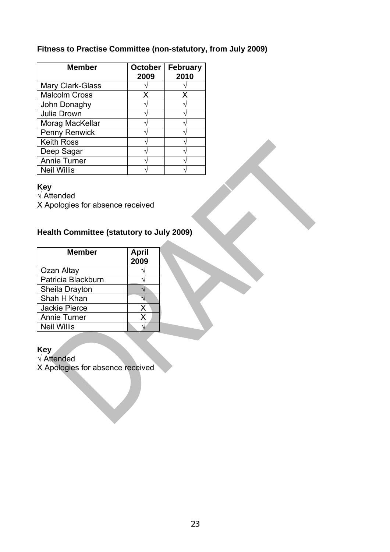# **Fitness to Practise Committee (non-statutory, from July 2009)**

| <b>Member</b>           | <b>October</b><br>2009 | <b>February</b><br>2010 |
|-------------------------|------------------------|-------------------------|
| <b>Mary Clark-Glass</b> |                        |                         |
| <b>Malcolm Cross</b>    | x                      | x                       |
| John Donaghy            |                        |                         |
| Julia Drown             |                        |                         |
| Morag MacKellar         |                        |                         |
| Penny Renwick           |                        |                         |
| <b>Keith Ross</b>       |                        |                         |
| Deep Sagar              |                        |                         |
| <b>Annie Turner</b>     |                        |                         |
| <b>Neil Willis</b>      |                        |                         |

#### **Key**

√ Attended

X Apologies for absence received

# **Health Committee (statutory to July 2009)**

| <b>Member</b>        | <b>April</b><br>2009 |  |
|----------------------|----------------------|--|
| Ozan Altay           |                      |  |
| Patricia Blackburn   |                      |  |
| Sheila Drayton       |                      |  |
| Shah H Khan          |                      |  |
| <b>Jackie Pierce</b> | X                    |  |
| <b>Annie Turner</b>  | x                    |  |
| <b>Neil Willis</b>   |                      |  |

#### **Key**

√ Attended X Apologies for absence received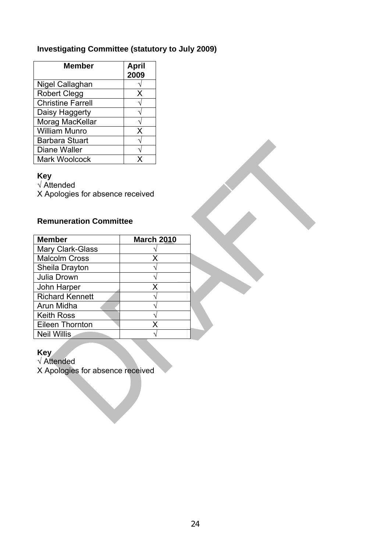# **Investigating Committee (statutory to July 2009)**

| <b>Member</b>            | <b>April</b><br>2009 |
|--------------------------|----------------------|
| Nigel Callaghan          |                      |
| <b>Robert Clegg</b>      | X                    |
| <b>Christine Farrell</b> |                      |
| Daisy Haggerty           |                      |
| Morag MacKellar          |                      |
| <b>William Munro</b>     | X                    |
| <b>Barbara Stuart</b>    |                      |
| <b>Diane Waller</b>      |                      |
| <b>Mark Woolcock</b>     |                      |

#### **Key**

√ Attended

X Apologies for absence received

# **Remuneration Committee**

| <b>Member</b>          | <b>March 2010</b> |  |
|------------------------|-------------------|--|
| Mary Clark-Glass       |                   |  |
| <b>Malcolm Cross</b>   | Х                 |  |
| Sheila Drayton         |                   |  |
| Julia Drown            |                   |  |
| John Harper            | x                 |  |
| <b>Richard Kennett</b> |                   |  |
| Arun Midha             |                   |  |
| <b>Keith Ross</b>      |                   |  |
| Eileen Thornton        | x                 |  |
| <b>Neil Willis</b>     |                   |  |

#### **Key**

√ Attended

X Apologies for absence received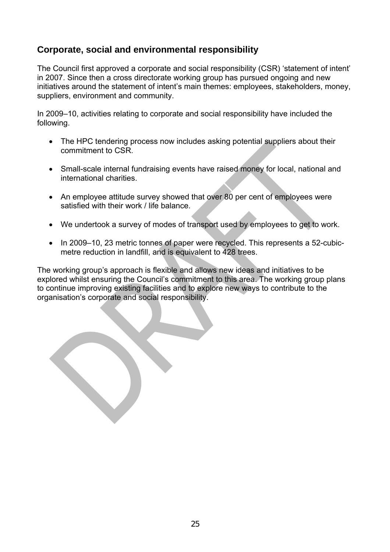# **Corporate, social and environmental responsibility**

The Council first approved a corporate and social responsibility (CSR) 'statement of intent' in 2007. Since then a cross directorate working group has pursued ongoing and new initiatives around the statement of intent's main themes: employees, stakeholders, money, suppliers, environment and community.

In 2009–10, activities relating to corporate and social responsibility have included the following.

- The HPC tendering process now includes asking potential suppliers about their commitment to CSR.
- Small-scale internal fundraising events have raised money for local, national and international charities.
- An employee attitude survey showed that over 80 per cent of employees were satisfied with their work / life balance.
- We undertook a survey of modes of transport used by employees to get to work.
- In 2009–10, 23 metric tonnes of paper were recycled. This represents a 52-cubicmetre reduction in landfill, and is equivalent to 428 trees.

The working group's approach is flexible and allows new ideas and initiatives to be explored whilst ensuring the Council's commitment to this area. The working group plans to continue improving existing facilities and to explore new ways to contribute to the organisation's corporate and social responsibility.